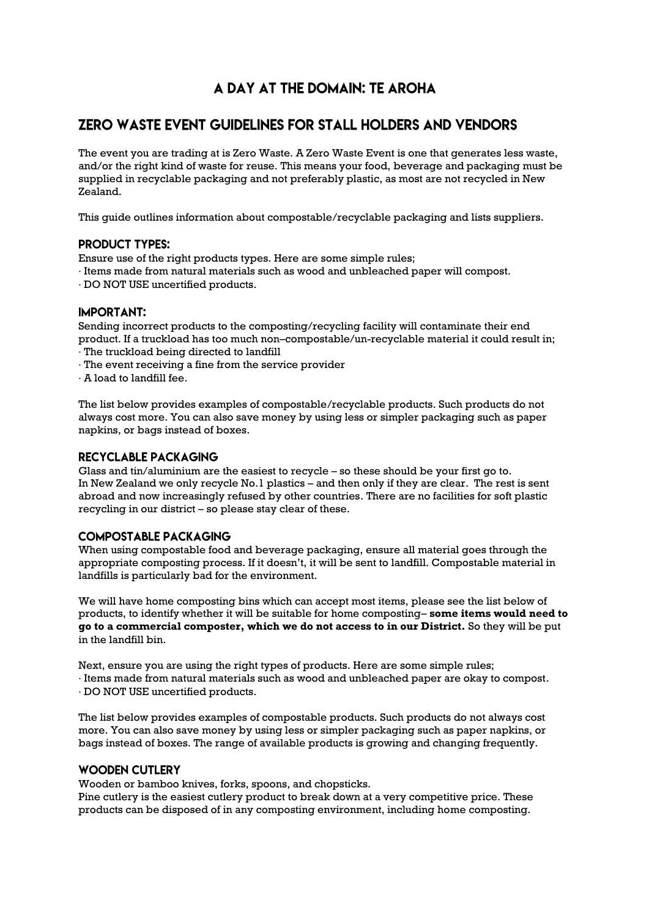# A DAY AT THE DOMAIN: TE AROHA

# **ZERO WASTE EVENT GUIDELINES FOR STALL HOLDERS AND VENDORS**

The event you are trading at is Zero Waste. A Zero Waste Event is one that generates less waste, and/or the right kind of waste for reuse. This means your food, beverage and packaging must be supplied in recyclable packaging and not preferably plastic, as most are not recycled in New Zealand.

This guide outlines information about compostable/recyclable packaging and lists suppliers.

## **PRODUCT TYPES:**

Ensure use of the right products types. Here are some simple rules;

- · Items made from natural materials such as wood and unbleached paper will compost.
- · DO NOT USE uncertified products.

### **IMPORTANT:**

Sending incorrect products to the composting/recycling facility will contaminate their end product. If a truckload has too much non–compostable/un-recyclable material it could result in; · The truckload being directed to landfill

- · The event receiving a fine from the service provider
- · A load to landfill fee.

The list below provides examples of compostable/recyclable products. Such products do not always cost more. You can also save money by using less or simpler packaging such as paper napkins, or bags instead of boxes.

### **RECYCLABLE PACKAGING**

Glass and tin/aluminium are the easiest to recycle – so these should be your first go to. In New Zealand we only recycle No.1 plastics – and then only if they are clear. The rest is sent abroad and now increasingly refused by other countries. There are no facilities for soft plastic recycling in our district – so please stay clear of these.

### **COMPOSTABLE PACKAGING**

When using compostable food and beverage packaging, ensure all material goes through the appropriate composting process. If it doesn't, it will be sent to landfill. Compostable material in landfills is particularly bad for the environment.

We will have home composting bins which can accept most items, please see the list below of products, to identify whether it will be suitable for home composting– **some items would need to go to a commercial composter, which we do not access to in our District.** So they will be put in the landfill bin.

Next, ensure you are using the right types of products. Here are some simple rules; · Items made from natural materials such as wood and unbleached paper are okay to compost.

· DO NOT USE uncertified products.

The list below provides examples of compostable products. Such products do not always cost more. You can also save money by using less or simpler packaging such as paper napkins, or bags instead of boxes. The range of available products is growing and changing frequently.

### **WOODEN CUTLERY**

Wooden or bamboo knives, forks, spoons, and chopsticks.

Pine cutlery is the easiest cutlery product to break down at a very competitive price. These products can be disposed of in any composting environment, including home composting.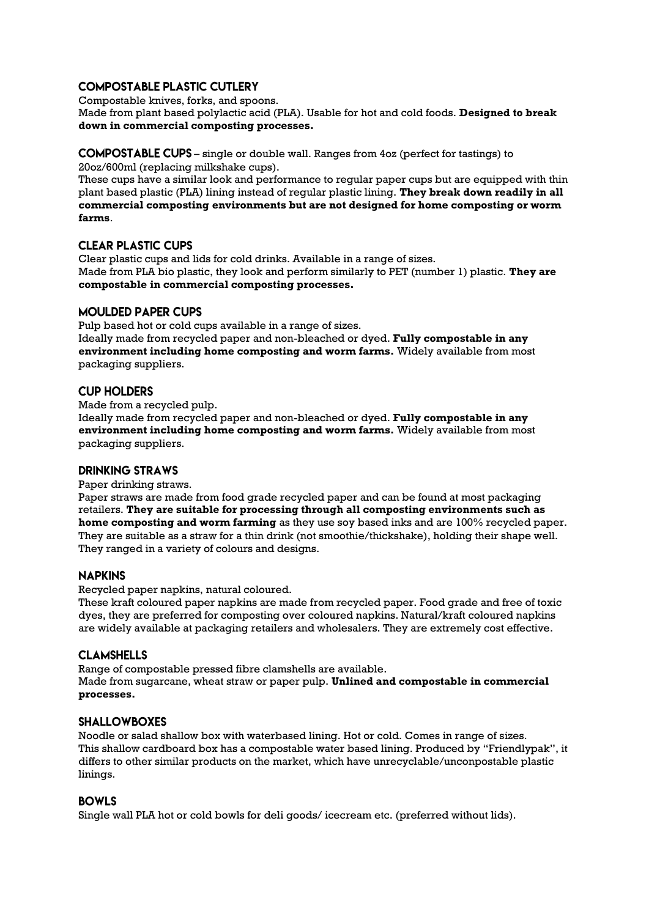### **COMPOSTABLE PLASTIC CUTLERY**

Compostable knives, forks, and spoons.

Made from plant based polylactic acid (PLA). Usable for hot and cold foods. **Designed to break down in commercial composting processes.** 

# – single or double wall. Ranges from 4oz (perfect for tastings) to

20oz/600ml (replacing milkshake cups).

These cups have a similar look and performance to regular paper cups but are equipped with thin plant based plastic (PLA) lining instead of regular plastic lining. **They break down readily in all commercial composting environments but are not designed for home composting or worm farms**.

# **CLEAR PLASTIC CUPS**

Clear plastic cups and lids for cold drinks. Available in a range of sizes. Made from PLA bio plastic, they look and perform similarly to PET (number 1) plastic. **They are compostable in commercial composting processes.** 

## **MOULDED PAPER CUPS**

Pulp based hot or cold cups available in a range of sizes. Ideally made from recycled paper and non-bleached or dyed. **Fully compostable in any environment including home composting and worm farms.** Widely available from most packaging suppliers.

# **CUP HOLDERS**

Made from a recycled pulp.

Ideally made from recycled paper and non-bleached or dyed. **Fully compostable in any environment including home composting and worm farms.** Widely available from most packaging suppliers.

# **DRINKING STRAWS**

Paper drinking straws.

Paper straws are made from food grade recycled paper and can be found at most packaging retailers. **They are suitable for processing through all composting environments such as home composting and worm farming** as they use soy based inks and are 100% recycled paper. They are suitable as a straw for a thin drink (not smoothie/thickshake), holding their shape well. They ranged in a variety of colours and designs.

### **NAPKINS**

Recycled paper napkins, natural coloured.

These kraft coloured paper napkins are made from recycled paper. Food grade and free of toxic dyes, they are preferred for composting over coloured napkins. Natural/kraft coloured napkins are widely available at packaging retailers and wholesalers. They are extremely cost effective.

# **CLAMSHELLS**

Range of compostable pressed fibre clamshells are available. Made from sugarcane, wheat straw or paper pulp. **Unlined and compostable in commercial processes.** 

### **SHALLOWBOXES**

Noodle or salad shallow box with waterbased lining. Hot or cold. Comes in range of sizes. This shallow cardboard box has a compostable water based lining. Produced by "Friendlypak", it differs to other similar products on the market, which have unrecyclable/unconpostable plastic linings.

### **BOWLS**

Single wall PLA hot or cold bowls for deli goods/ icecream etc. (preferred without lids).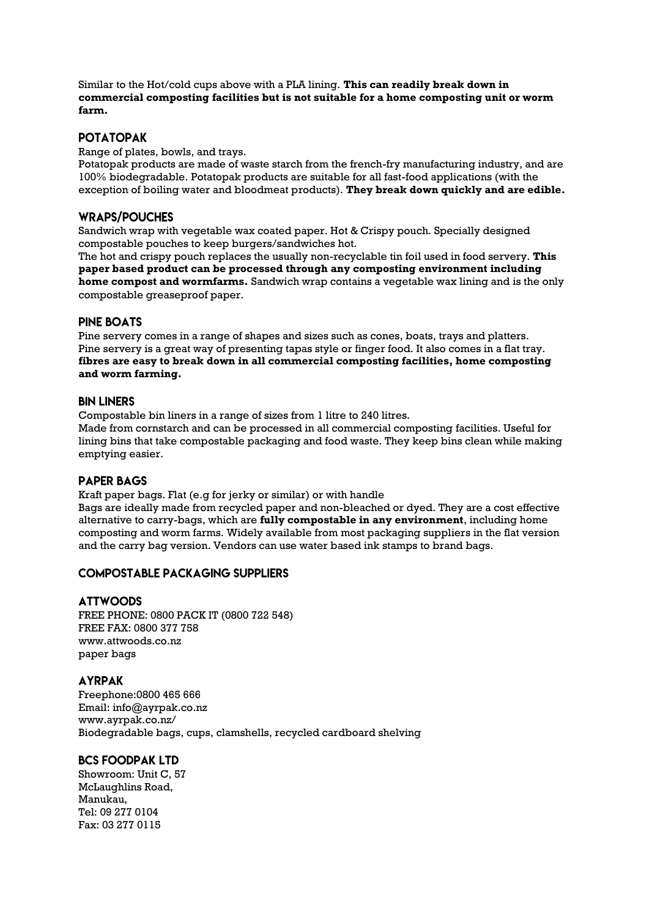Similar to the Hot/cold cups above with a PLA lining. **This can readily break down in commercial composting facilities but is not suitable for a home composting unit or worm farm.** 

### **POTATOPAK**

Range of plates, bowls, and trays.

Potatopak products are made of waste starch from the french-fry manufacturing industry, and are 100% biodegradable. Potatopak products are suitable for all fast-food applications (with the exception of boiling water and bloodmeat products). **They break down quickly and are edible.**

### **WRAPS/POUCHES**

Sandwich wrap with vegetable wax coated paper. Hot & Crispy pouch. Specially designed compostable pouches to keep burgers/sandwiches hot.

The hot and crispy pouch replaces the usually non-recyclable tin foil used in food servery. **This paper based product can be processed through any composting environment including home compost and wormfarms.** Sandwich wrap contains a vegetable wax lining and is the only compostable greaseproof paper.

#### **PINE BOATS**

Pine servery comes in a range of shapes and sizes such as cones, boats, trays and platters. Pine servery is a great way of presenting tapas style or finger food. It also comes in a flat tray. **fibres are easy to break down in all commercial composting facilities, home composting and worm farming.** 

#### **BIN I INFRS**

Compostable bin liners in a range of sizes from 1 litre to 240 litres.

Made from cornstarch and can be processed in all commercial composting facilities. Useful for lining bins that take compostable packaging and food waste. They keep bins clean while making emptying easier.

### **PAPER BAGS**

Kraft paper bags. Flat (e.g for jerky or similar) or with handle

Bags are ideally made from recycled paper and non-bleached or dyed. They are a cost effective alternative to carry-bags, which are **fully compostable in any environment**, including home composting and worm farms. Widely available from most packaging suppliers in the flat version and the carry bag version. Vendors can use water based ink stamps to brand bags.

### **COMPOSTABLE PACKAGING SUPPLIERS**

#### **ATTWOODS**

FREE PHONE: 0800 PACK IT (0800 722 548) FREE FAX: 0800 377 758 www.attwoods.co.nz paper bags

### **AYRPAK**

Freephone:0800 465 666 Email: info@ayrpak.co.nz www.ayrpak.co.nz/ Biodegradable bags, cups, clamshells, recycled cardboard shelving

## **BCS FOODPAK I TD**

Showroom: Unit C, 57 McLaughlins Road, Manukau, Tel: 09 277 0104 Fax: 03 277 0115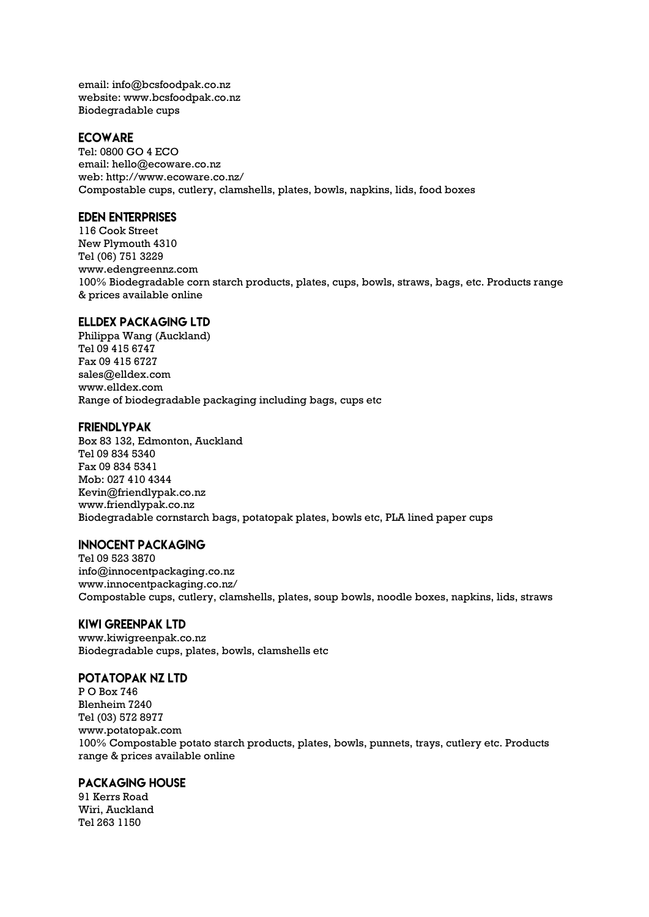email: info@bcsfoodpak.co.nz website: www.bcsfoodpak.co.nz Biodegradable cups

### **ECOWARE**

Tel: 0800 GO 4 ECO email: hello@ecoware.co.nz web: http://www.ecoware.co.nz/ Compostable cups, cutlery, clamshells, plates, bowls, napkins, lids, food boxes

### **EDEN ENTERPRISES**

116 Cook Street New Plymouth 4310 Tel (06) 751 3229 www.edengreennz.com 100% Biodegradable corn starch products, plates, cups, bowls, straws, bags, etc. Products range & prices available online

### **ELLDEX PACKAGING LTD**

Philippa Wang (Auckland) Tel 09 415 6747 Fax 09 415 6727 sales@elldex.com www.elldex.com Range of biodegradable packaging including bags, cups etc

#### **FRIENDLYPAK**

Box 83 132, Edmonton, Auckland Tel 09 834 5340 Fax 09 834 5341 Mob: 027 410 4344 Kevin@friendlypak.co.nz www.friendlypak.co.nz Biodegradable cornstarch bags, potatopak plates, bowls etc, PLA lined paper cups

### **INNOCENT PACKAGING**

Tel 09 523 3870 info@innocentpackaging.co.nz www.innocentpackaging.co.nz/ Compostable cups, cutlery, clamshells, plates, soup bowls, noodle boxes, napkins, lids, straws

#### **KIWI GREENPAK LTD**

www.kiwigreenpak.co.nz Biodegradable cups, plates, bowls, clamshells etc

#### POTATOPAK NZ LTD

P O Box 746 Blenheim 7240 Tel (03) 572 8977 www.potatopak.com 100% Compostable potato starch products, plates, bowls, punnets, trays, cutlery etc. Products range & prices available online

## **PACKAGING HOUSE**

91 Kerrs Road Wiri, Auckland Tel 263 1150